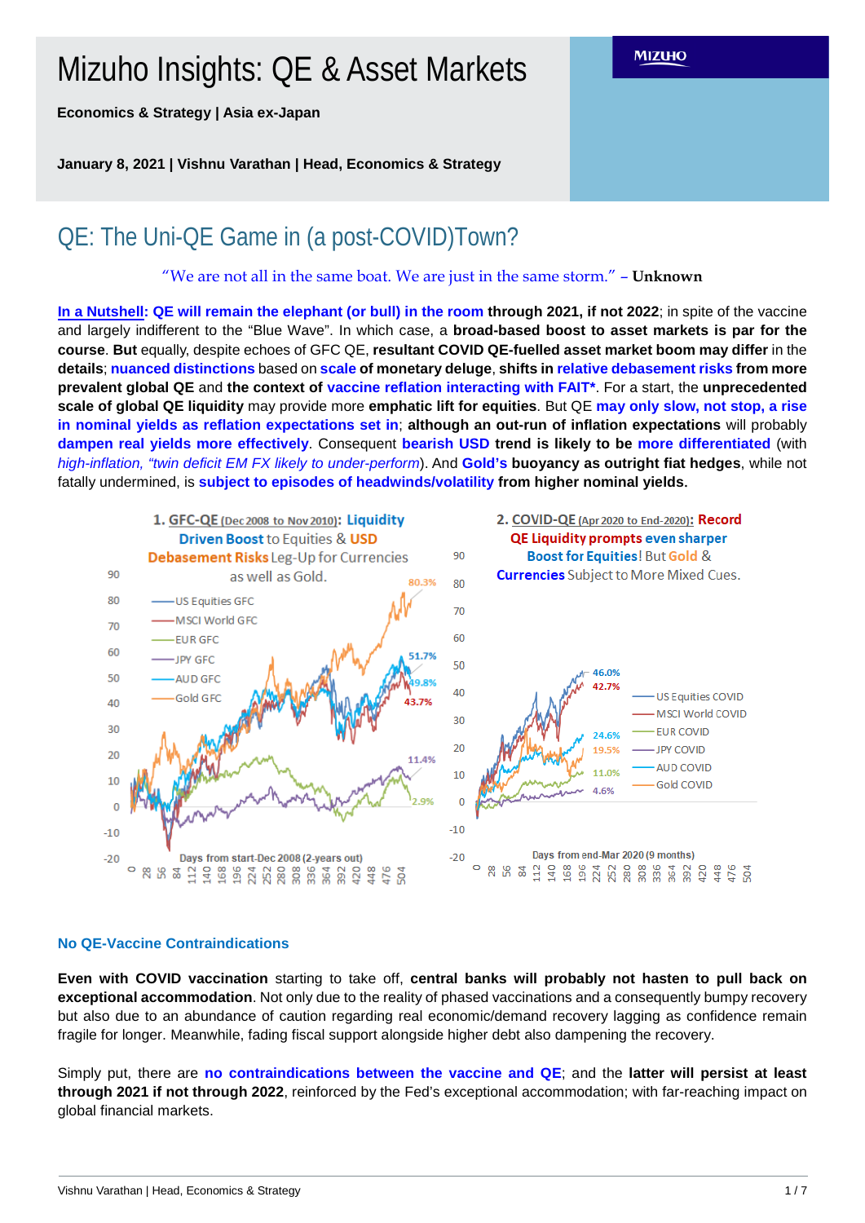# Mizuho Insights: QE & Asset Markets

**Economics & Strategy | Asia ex-Japan**

**January 8, 2021 | Vishnu Varathan | Head, Economics & Strategy**

# QE: The Uni-QE Game in (a post-COVID)Town?

"We are not all in the same boat. We are just in the same storm." – **Unknown**

**MIZUHO** 

**In a Nutshell: QE will remain the elephant (or bull) in the room through 2021, if not 2022**; in spite of the vaccine and largely indifferent to the "Blue Wave". In which case, a **broad-based boost to asset markets is par for the course**. **But** equally, despite echoes of GFC QE, **resultant COVID QE-fuelled asset market boom may differ** in the **details**; **nuanced distinctions** based on **scale of monetary deluge**, **shifts in relative debasement risks from more prevalent global QE** and **the context of vaccine reflation interacting with FAIT\***. For a start, the **unprecedented scale of global QE liquidity** may provide more **emphatic lift for equities**. But QE **may only slow, not stop, a rise in nominal yields as reflation expectations set in**; **although an out-run of inflation expectations** will probably **dampen real yields more effectively**. Consequent **bearish USD trend is likely to be more differentiated** (with *high-inflation, "twin deficit EM FX likely to under-perform*). And **Gold's buoyancy as outright fiat hedges**, while not fatally undermined, is **subject to episodes of headwinds/volatility from higher nominal yields**.



# **No QE-Vaccine Contraindications**

**Even with COVID vaccination** starting to take off, **central banks will probably not hasten to pull back on exceptional accommodation**. Not only due to the reality of phased vaccinations and a consequently bumpy recovery but also due to an abundance of caution regarding real economic/demand recovery lagging as confidence remain fragile for longer. Meanwhile, fading fiscal support alongside higher debt also dampening the recovery.

Simply put, there are **no contraindications between the vaccine and QE**; and the **latter will persist at least through 2021 if not through 2022**, reinforced by the Fed's exceptional accommodation; with far-reaching impact on global financial markets.

#### Vishnu Varathan | Head, Economics & Strategy 1 / 7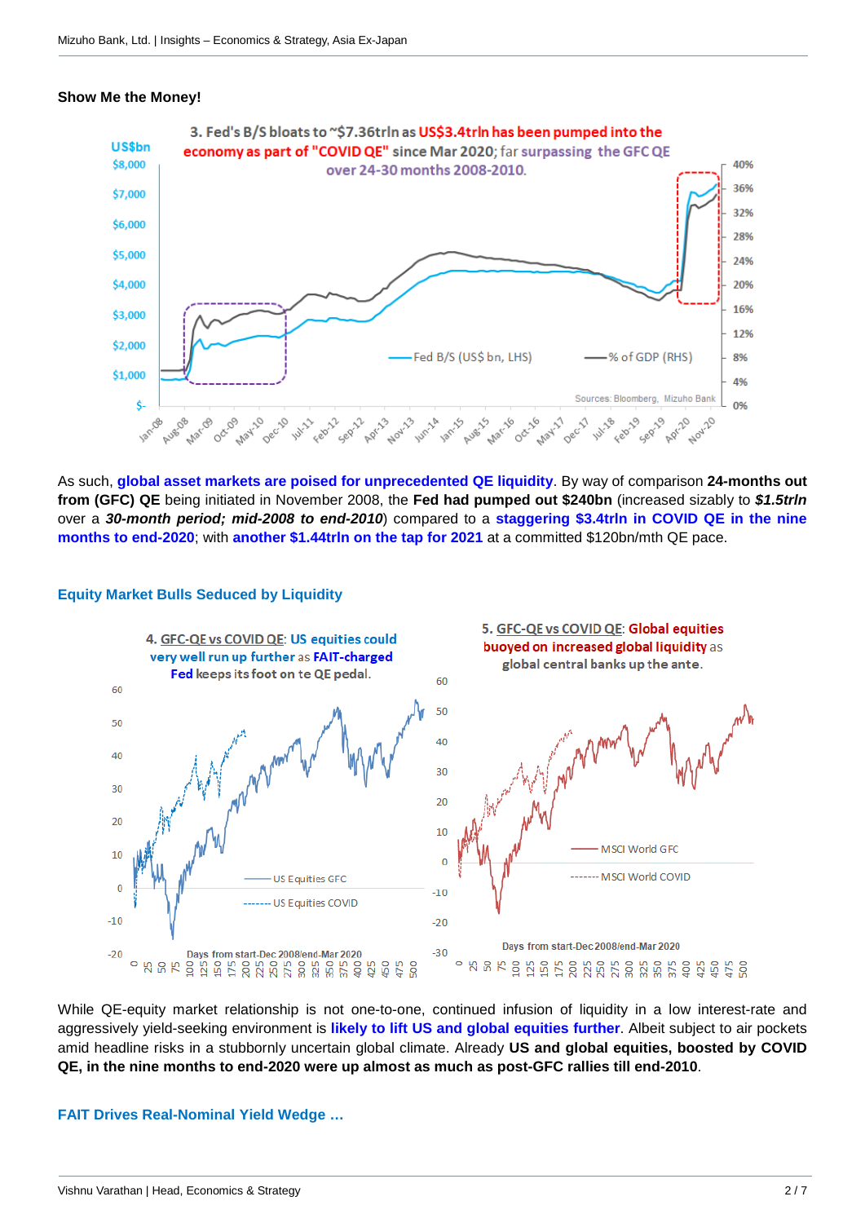#### **Show Me the Money!**



As such, **global asset markets are poised for unprecedented QE liquidity**. By way of comparison **24-months out from (GFC) QE** being initiated in November 2008, the **Fed had pumped out \$240bn** (increased sizably to *\$1.5trln* over a *30-month period; mid-2008 to end-2010*) compared to a **staggering \$3.4trln in COVID QE in the nine months to end-2020**; with **another \$1.44trln on the tap for 2021** at a committed \$120bn/mth QE pace.



### **Equity Market Bulls Seduced by Liquidity**

While QE-equity market relationship is not one-to-one, continued infusion of liquidity in a low interest-rate and aggressively yield-seeking environment is **likely to lift US and global equities further**. Albeit subject to air pockets amid headline risks in a stubbornly uncertain global climate. Already **US and global equities, boosted by COVID QE, in the nine months to end-2020 were up almost as much as post-GFC rallies till end-2010**.

#### **FAIT Drives Real-Nominal Yield Wedge …**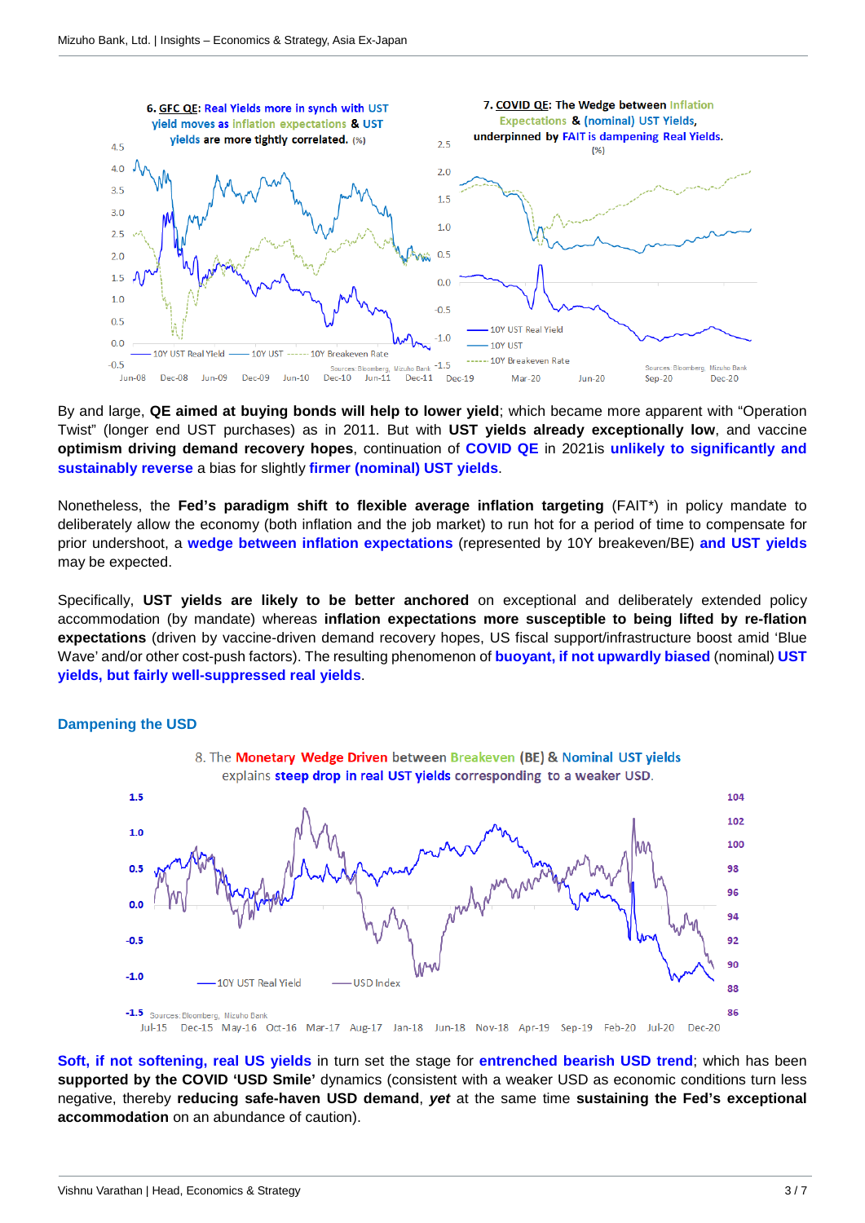

By and large, **QE aimed at buying bonds will help to lower yield**; which became more apparent with "Operation Twist" (longer end UST purchases) as in 2011. But with **UST yields already exceptionally low**, and vaccine **optimism driving demand recovery hopes**, continuation of **COVID QE** in 2021is **unlikely to significantly and sustainably reverse** a bias for slightly **firmer (nominal) UST yields**.

Nonetheless, the **Fed's paradigm shift to flexible average inflation targeting** (FAIT\*) in policy mandate to deliberately allow the economy (both inflation and the job market) to run hot for a period of time to compensate for prior undershoot, a **wedge between inflation expectations** (represented by 10Y breakeven/BE) **and UST yields** may be expected.

Specifically, **UST yields are likely to be better anchored** on exceptional and deliberately extended policy accommodation (by mandate) whereas **inflation expectations more susceptible to being lifted by re-flation expectations** (driven by vaccine-driven demand recovery hopes, US fiscal support/infrastructure boost amid 'Blue Wave' and/or other cost-push factors). The resulting phenomenon of **buoyant, if not upwardly biased** (nominal) **UST yields, but fairly well-suppressed real yields**.

#### **Dampening the USD**



**Soft, if not softening, real US yields** in turn set the stage for **entrenched bearish USD trend**; which has been **supported by the COVID 'USD Smile'** dynamics (consistent with a weaker USD as economic conditions turn less negative, thereby **reducing safe-haven USD demand**, *yet* at the same time **sustaining the Fed's exceptional accommodation** on an abundance of caution).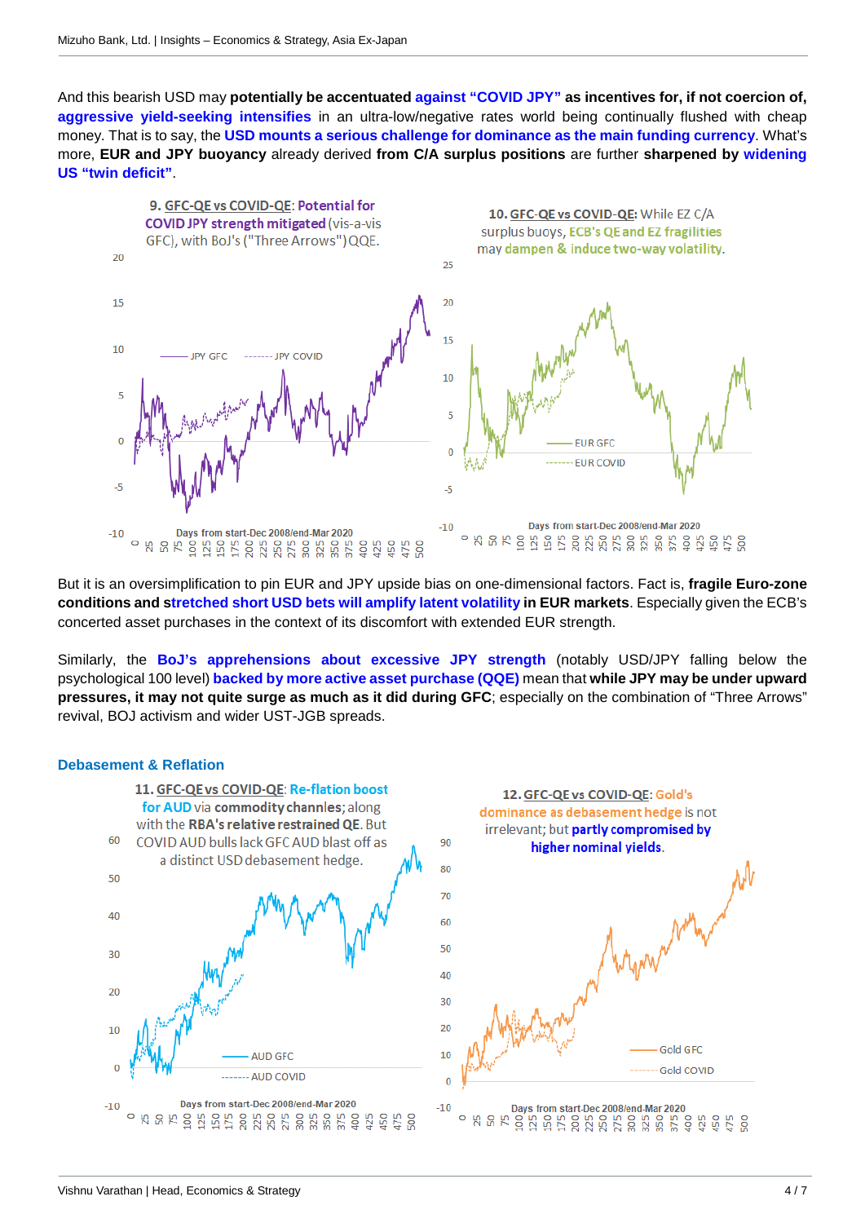And this bearish USD may **potentially be accentuated against "COVID JPY" as incentives for, if not coercion of, aggressive yield-seeking intensifies** in an ultra-low/negative rates world being continually flushed with cheap money. That is to say, the **USD mounts a serious challenge for dominance as the main funding currency**. What's more, **EUR and JPY buoyancy** already derived **from C/A surplus positions** are further **sharpened by widening US "twin deficit"**.



But it is an oversimplification to pin EUR and JPY upside bias on one-dimensional factors. Fact is, **fragile Euro-zone conditions and stretched short USD bets will amplify latent volatility in EUR markets**. Especially given the ECB's concerted asset purchases in the context of its discomfort with extended EUR strength.

Similarly, the **BoJ's apprehensions about excessive JPY strength** (notably USD/JPY falling below the psychological 100 level) **backed by more active asset purchase (QQE)** mean that **while JPY may be under upward pressures, it may not quite surge as much as it did during GFC**; especially on the combination of "Three Arrows" revival, BOJ activism and wider UST-JGB spreads.

#### **Debasement & Reflation**

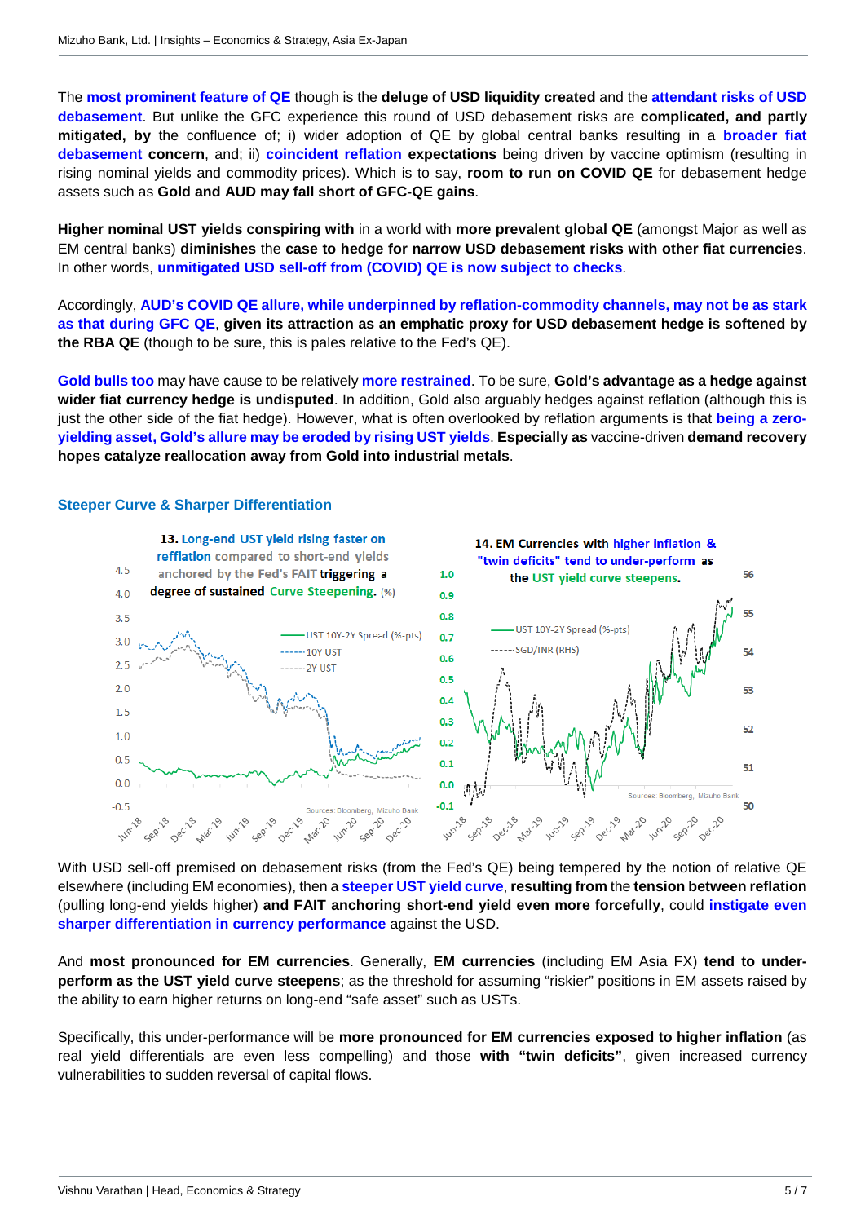The **most prominent feature of QE** though is the **deluge of USD liquidity created** and the **attendant risks of USD debasement**. But unlike the GFC experience this round of USD debasement risks are **complicated, and partly mitigated, by** the confluence of; i) wider adoption of QE by global central banks resulting in a **broader fiat debasement concern**, and; ii) **coincident reflation expectations** being driven by vaccine optimism (resulting in rising nominal yields and commodity prices). Which is to say, **room to run on COVID QE** for debasement hedge assets such as **Gold and AUD may fall short of GFC-QE gains**.

**Higher nominal UST yields conspiring with** in a world with **more prevalent global QE** (amongst Major as well as EM central banks) **diminishes** the **case to hedge for narrow USD debasement risks with other fiat currencies**. In other words, **unmitigated USD sell-off from (COVID) QE is now subject to checks**.

Accordingly, **AUD's COVID QE allure, while underpinned by reflation-commodity channels, may not be as stark as that during GFC QE**, **given its attraction as an emphatic proxy for USD debasement hedge is softened by the RBA QE** (though to be sure, this is pales relative to the Fed's QE).

**Gold bulls too** may have cause to be relatively **more restrained**. To be sure, **Gold's advantage as a hedge against wider fiat currency hedge is undisputed**. In addition, Gold also arguably hedges against reflation (although this is just the other side of the fiat hedge). However, what is often overlooked by reflation arguments is that **being a zeroyielding asset, Gold's allure may be eroded by rising UST yields**. **Especially as** vaccine-driven **demand recovery hopes catalyze reallocation away from Gold into industrial metals**.

### **Steeper Curve & Sharper Differentiation**



With USD sell-off premised on debasement risks (from the Fed's QE) being tempered by the notion of relative QE elsewhere (including EM economies), then a **steeper UST yield curve**, **resulting from** the **tension between reflation** (pulling long-end yields higher) **and FAIT anchoring short-end yield even more forcefully**, could **instigate even sharper differentiation in currency performance** against the USD.

And **most pronounced for EM currencies**. Generally, **EM currencies** (including EM Asia FX) **tend to underperform as the UST yield curve steepens**; as the threshold for assuming "riskier" positions in EM assets raised by the ability to earn higher returns on long-end "safe asset" such as USTs.

Specifically, this under-performance will be **more pronounced for EM currencies exposed to higher inflation** (as real yield differentials are even less compelling) and those **with "twin deficits"**, given increased currency vulnerabilities to sudden reversal of capital flows.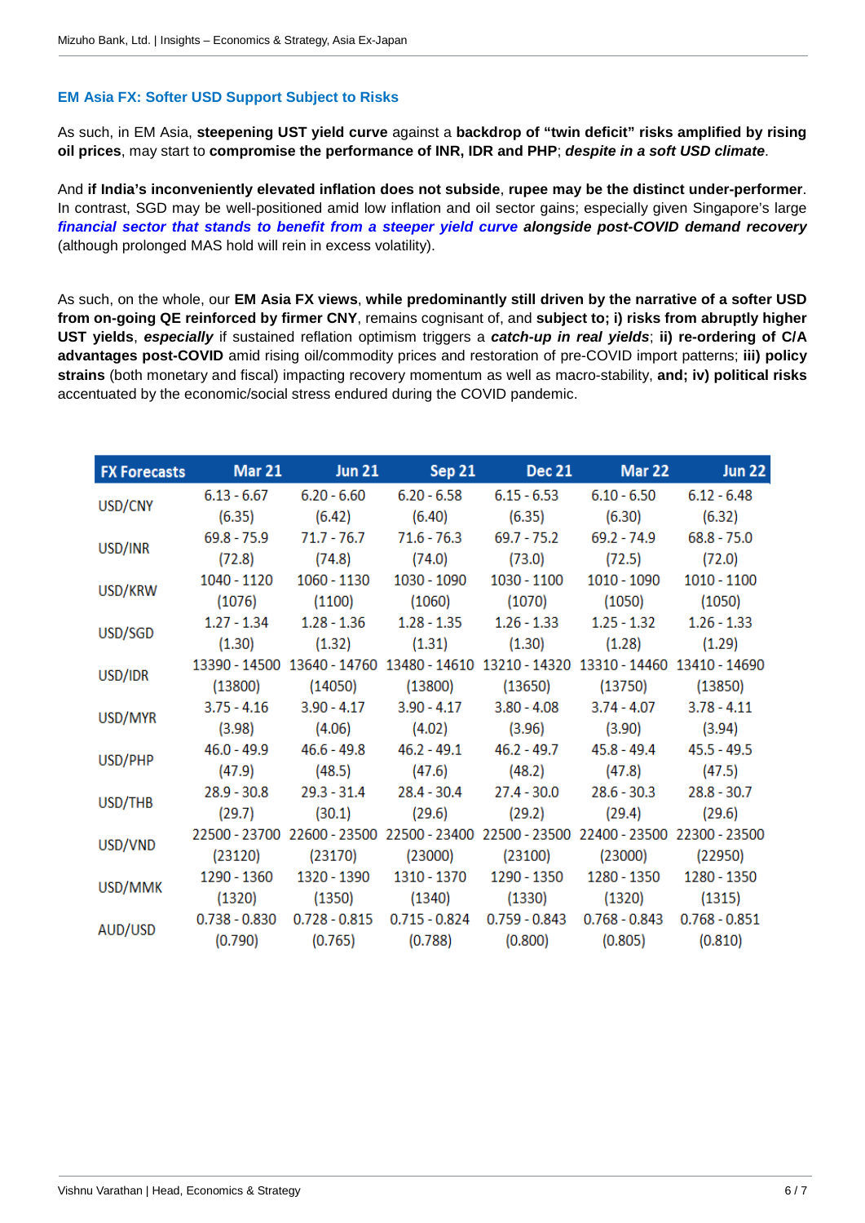# **EM Asia FX: Softer USD Support Subject to Risks**

As such, in EM Asia, **steepening UST yield curve** against a **backdrop of "twin deficit" risks amplified by rising oil prices**, may start to **compromise the performance of INR, IDR and PHP**; *despite in a soft USD climate*.

And **if India's inconveniently elevated inflation does not subside**, **rupee may be the distinct under-performer**. In contrast, SGD may be well-positioned amid low inflation and oil sector gains; especially given Singapore's large *financial sector that stands to benefit from a steeper yield curve alongside post-COVID demand recovery* (although prolonged MAS hold will rein in excess volatility).

As such, on the whole, our **EM Asia FX views**, **while predominantly still driven by the narrative of a softer USD from on-going QE reinforced by firmer CNY**, remains cognisant of, and **subject to; i) risks from abruptly higher UST yields**, *especially* if sustained reflation optimism triggers a *catch-up in real yields*; **ii) re-ordering of C/A advantages post-COVID** amid rising oil/commodity prices and restoration of pre-COVID import patterns; **iii) policy strains** (both monetary and fiscal) impacting recovery momentum as well as macro-stability, **and; iv) political risks** accentuated by the economic/social stress endured during the COVID pandemic.

|         |                 | FX Forecasts Mar 21 Jun 21 Sep 21 Dec 21                                            |             | Mar $22$                    | <b>Jun 22</b> |
|---------|-----------------|-------------------------------------------------------------------------------------|-------------|-----------------------------|---------------|
| USD/CNY |                 | $6.13 - 6.67$ $6.20 - 6.60$ $6.20 - 6.58$ $6.15 - 6.53$ $6.10 - 6.50$ $6.12 - 6.48$ |             |                             |               |
|         |                 | $(6.35)$ $(6.42)$ $(6.40)$ $(6.35)$ $(6.30)$ $(6.32)$                               |             |                             |               |
| USD/INR |                 | 69.8 - 75.9 71.7 - 76.7 71.6 - 76.3 69.7 - 75.2 69.2 - 74.9 68.8 - 75.0             |             |                             |               |
|         |                 | $(72.8)$ $(74.8)$ $(74.0)$ $(73.0)$ $(72.5)$ $(72.0)$                               |             |                             |               |
| USD/KRW | 1040 - 1120     |                                                                                     | 1030 - 1100 | 1010 - 1090 1010 - 1100     |               |
|         |                 | $(1076)$ $(1100)$ $(1060)$ $(1070)$ $(1050)$ $(1050)$                               |             |                             |               |
| USD/SGD |                 | $1.27 - 1.34$ $1.28 - 1.36$ $1.28 - 1.35$ $1.26 - 1.33$ $1.25 - 1.32$ $1.26 - 1.33$ |             |                             |               |
|         | (1.30)          | $(1.32)$ $(1.31)$ $(1.30)$ $(1.28)$                                                 |             |                             | (1.29)        |
| USD/IDR |                 | 13390 - 14500 13640 - 14760 13480 - 14610 13210 - 14320 13310 - 14460 13410 - 14690 |             |                             |               |
|         |                 | $(13800)$ $(14050)$ $(13800)$ $(13650)$ $(13750)$ $(13850)$                         |             |                             |               |
| USD/MYR |                 | 3.75 - 4.16 3.90 - 4.17 3.90 - 4.17 3.80 - 4.08 3.74 - 4.07 3.78 - 4.11             |             |                             |               |
|         |                 | $(3.98)$ $(4.06)$ $(4.02)$ $(3.96)$ $(3.90)$ $(3.94)$                               |             |                             |               |
| USD/PHP |                 | 46.0 - 49.9 46.6 - 49.8 46.2 - 49.1 46.2 - 49.7 45.8 - 49.4 45.5 - 49.5             |             |                             |               |
|         |                 | $(47.9)$ $(48.5)$ $(47.6)$ $(48.2)$ $(47.8)$ $(47.5)$                               |             |                             |               |
| USD/THB |                 | 28.9 - 30.8 29.3 - 31.4 28.4 - 30.4 27.4 - 30.0 28.6 - 30.3 28.8 - 30.7             |             |                             |               |
|         | (29.7)          | $(30.1)$ $(29.6)$ $(29.2)$ $(29.4)$ $(29.6)$                                        |             |                             |               |
| USD/VND |                 | 22500 - 23700 22600 - 23500 22500 - 23400 22500 - 23500 22400 - 23500 22300 - 23500 |             |                             |               |
|         | (23120)         | $(23170)$ $(23000)$ $(23100)$ $(23000)$ $(22950)$                                   |             |                             |               |
| USD/MMK |                 | 1290 - 1360 1320 - 1390 1310 - 1370 1290 - 1350 1280 - 1350 1280 - 1350             |             |                             |               |
|         |                 | $(1320)$ $(1350)$ $(1340)$ $(1330)$ $(1320)$ $(1315)$                               |             |                             |               |
| AUD/USD | $0.738 - 0.830$ | $0.728 - 0.815$ $0.715 - 0.824$ $0.759 - 0.843$                                     |             | 0.768 - 0.843 0.768 - 0.851 |               |
|         | (0.790)         | $(0.765)$ $(0.788)$ $(0.800)$ $(0.805)$                                             |             |                             | (0.810)       |